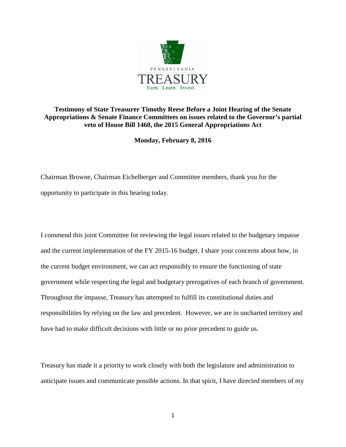

## **Testimony of State Treasurer Timothy Reese Before a Joint Hearing of the Senate Appropriations & Senate Finance Committees on issues related to the Governor's partial veto of House Bill 1460, the 2015 General Appropriations Act**

**Monday, February 8, 2016**

Chairman Browne, Chairman Eichelberger and Committee members, thank you for the opportunity to participate in this hearing today.

I commend this joint Committee for reviewing the legal issues related to the budgetary impasse and the current implementation of the FY 2015-16 budget. I share your concerns about how, in the current budget environment, we can act responsibly to ensure the functioning of state government while respecting the legal and budgetary prerogatives of each branch of government. Throughout the impasse, Treasury has attempted to fulfill its constitutional duties and responsibilities by relying on the law and precedent. However, we are in uncharted territory and have had to make difficult decisions with little or no prior precedent to guide us.

Treasury has made it a priority to work closely with both the legislature and administration to anticipate issues and communicate possible actions. In that spirit, I have directed members of my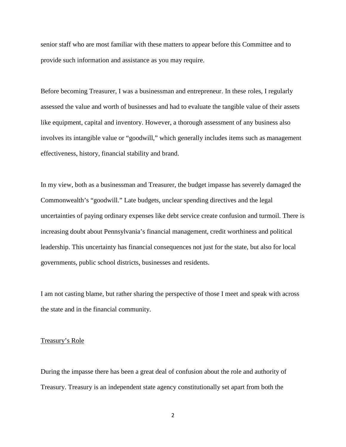senior staff who are most familiar with these matters to appear before this Committee and to provide such information and assistance as you may require.

Before becoming Treasurer, I was a businessman and entrepreneur. In these roles, I regularly assessed the value and worth of businesses and had to evaluate the tangible value of their assets like equipment, capital and inventory. However, a thorough assessment of any business also involves its intangible value or "goodwill," which generally includes items such as management effectiveness, history, financial stability and brand.

In my view, both as a businessman and Treasurer, the budget impasse has severely damaged the Commonwealth's "goodwill." Late budgets, unclear spending directives and the legal uncertainties of paying ordinary expenses like debt service create confusion and turmoil. There is increasing doubt about Pennsylvania's financial management, credit worthiness and political leadership. This uncertainty has financial consequences not just for the state, but also for local governments, public school districts, businesses and residents.

I am not casting blame, but rather sharing the perspective of those I meet and speak with across the state and in the financial community.

## Treasury's Role

During the impasse there has been a great deal of confusion about the role and authority of Treasury. Treasury is an independent state agency constitutionally set apart from both the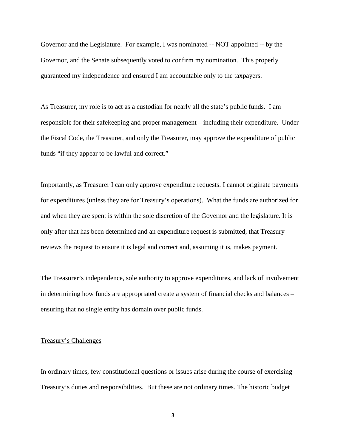Governor and the Legislature. For example, I was nominated -- NOT appointed -- by the Governor, and the Senate subsequently voted to confirm my nomination. This properly guaranteed my independence and ensured I am accountable only to the taxpayers.

As Treasurer, my role is to act as a custodian for nearly all the state's public funds. I am responsible for their safekeeping and proper management – including their expenditure. Under the Fiscal Code, the Treasurer, and only the Treasurer, may approve the expenditure of public funds "if they appear to be lawful and correct."

Importantly, as Treasurer I can only approve expenditure requests. I cannot originate payments for expenditures (unless they are for Treasury's operations). What the funds are authorized for and when they are spent is within the sole discretion of the Governor and the legislature. It is only after that has been determined and an expenditure request is submitted, that Treasury reviews the request to ensure it is legal and correct and, assuming it is, makes payment.

The Treasurer's independence, sole authority to approve expenditures, and lack of involvement in determining how funds are appropriated create a system of financial checks and balances – ensuring that no single entity has domain over public funds.

## Treasury's Challenges

In ordinary times, few constitutional questions or issues arise during the course of exercising Treasury's duties and responsibilities. But these are not ordinary times. The historic budget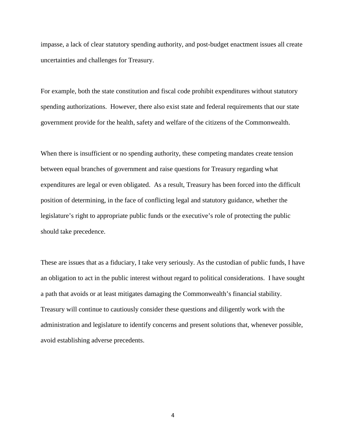impasse, a lack of clear statutory spending authority, and post-budget enactment issues all create uncertainties and challenges for Treasury.

For example, both the state constitution and fiscal code prohibit expenditures without statutory spending authorizations. However, there also exist state and federal requirements that our state government provide for the health, safety and welfare of the citizens of the Commonwealth.

When there is insufficient or no spending authority, these competing mandates create tension between equal branches of government and raise questions for Treasury regarding what expenditures are legal or even obligated. As a result, Treasury has been forced into the difficult position of determining, in the face of conflicting legal and statutory guidance, whether the legislature's right to appropriate public funds or the executive's role of protecting the public should take precedence.

These are issues that as a fiduciary, I take very seriously. As the custodian of public funds, I have an obligation to act in the public interest without regard to political considerations. I have sought a path that avoids or at least mitigates damaging the Commonwealth's financial stability. Treasury will continue to cautiously consider these questions and diligently work with the administration and legislature to identify concerns and present solutions that, whenever possible, avoid establishing adverse precedents.

4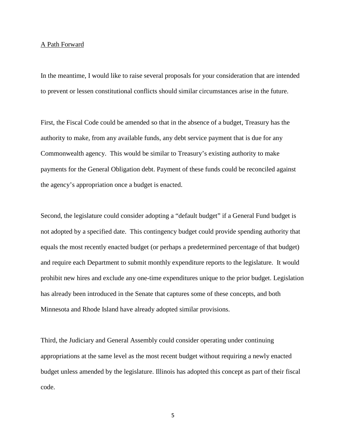## A Path Forward

In the meantime, I would like to raise several proposals for your consideration that are intended to prevent or lessen constitutional conflicts should similar circumstances arise in the future.

First, the Fiscal Code could be amended so that in the absence of a budget, Treasury has the authority to make, from any available funds, any debt service payment that is due for any Commonwealth agency. This would be similar to Treasury's existing authority to make payments for the General Obligation debt. Payment of these funds could be reconciled against the agency's appropriation once a budget is enacted.

Second, the legislature could consider adopting a "default budget" if a General Fund budget is not adopted by a specified date. This contingency budget could provide spending authority that equals the most recently enacted budget (or perhaps a predetermined percentage of that budget) and require each Department to submit monthly expenditure reports to the legislature. It would prohibit new hires and exclude any one-time expenditures unique to the prior budget. Legislation has already been introduced in the Senate that captures some of these concepts, and both Minnesota and Rhode Island have already adopted similar provisions.

Third, the Judiciary and General Assembly could consider operating under continuing appropriations at the same level as the most recent budget without requiring a newly enacted budget unless amended by the legislature. Illinois has adopted this concept as part of their fiscal code.